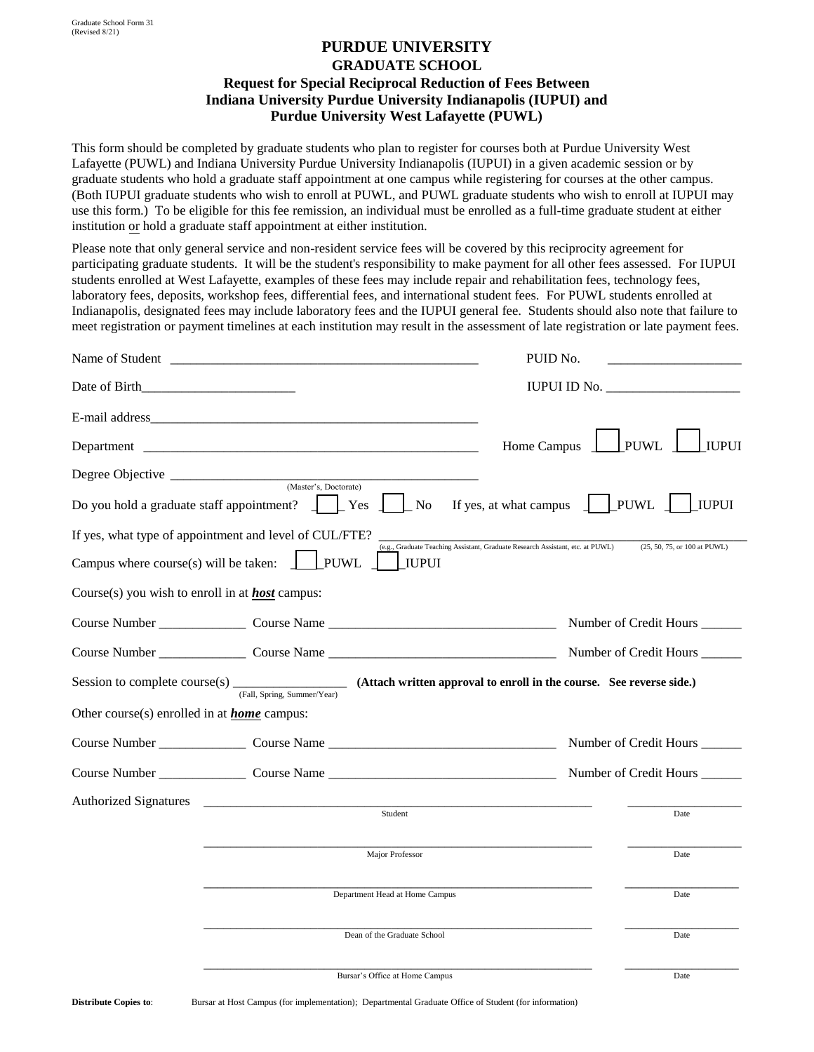## **PURDUE UNIVERSITY GRADUATE SCHOOL Request for Special Reciprocal Reduction of Fees Between Indiana University Purdue University Indianapolis (IUPUI) and Purdue University West Lafayette (PUWL)**

This form should be completed by graduate students who plan to register for courses both at Purdue University West Lafayette (PUWL) and Indiana University Purdue University Indianapolis (IUPUI) in a given academic session or by graduate students who hold a graduate staff appointment at one campus while registering for courses at the other campus. (Both IUPUI graduate students who wish to enroll at PUWL, and PUWL graduate students who wish to enroll at IUPUI may use this form.) To be eligible for this fee remission, an individual must be enrolled as a full-time graduate student at either institution or hold a graduate staff appointment at either institution.

Please note that only general service and non-resident service fees will be covered by this reciprocity agreement for participating graduate students. It will be the student's responsibility to make payment for all other fees assessed. For IUPUI students enrolled at West Lafayette, examples of these fees may include repair and rehabilitation fees, technology fees, laboratory fees, deposits, workshop fees, differential fees, and international student fees. For PUWL students enrolled at Indianapolis, designated fees may include laboratory fees and the IUPUI general fee. Students should also note that failure to meet registration or payment timelines at each institution may result in the assessment of late registration or late payment fees.

|                                                        |                                                                                                  | PUID No.                                                                                                       |
|--------------------------------------------------------|--------------------------------------------------------------------------------------------------|----------------------------------------------------------------------------------------------------------------|
|                                                        |                                                                                                  |                                                                                                                |
|                                                        |                                                                                                  |                                                                                                                |
|                                                        |                                                                                                  | PUWL<br><b>IUPUI</b><br>Home Campus                                                                            |
|                                                        | Degree Objective (Master's, Doctorate)                                                           |                                                                                                                |
| Do you hold a graduate staff appointment? $\Box$       | No.<br>Yes                                                                                       | <b>PUWL</b><br>I iupui<br>If yes, at what campus                                                               |
|                                                        | If yes, what type of appointment and level of CUL/FTE?                                           | (e.g., Graduate Teaching Assistant, Graduate Research Assistant, etc. at PUWL)<br>(25, 50, 75, or 100 at PUWL) |
| Campus where course(s) will be taken:                  | <b>PUWL</b><br><b>IUPUI</b>                                                                      |                                                                                                                |
| Course(s) you wish to enroll in at <b>host</b> campus: |                                                                                                  |                                                                                                                |
|                                                        |                                                                                                  | Number of Credit Hours                                                                                         |
|                                                        |                                                                                                  | Number of Credit Hours _____                                                                                   |
| Session to complete course(s) $\overline{\phantom{a}}$ | (Fall, Spring, Summer/Year) (Attach written approval to enroll in the course. See reverse side.) |                                                                                                                |
| Other course(s) enrolled in at <b>home</b> campus:     |                                                                                                  |                                                                                                                |
|                                                        |                                                                                                  | Number of Credit Hours                                                                                         |
|                                                        |                                                                                                  |                                                                                                                |
| <b>Authorized Signatures</b>                           | Student                                                                                          | Date                                                                                                           |
|                                                        |                                                                                                  |                                                                                                                |
|                                                        | Major Professor                                                                                  | Date                                                                                                           |
|                                                        | Department Head at Home Campus                                                                   | Date                                                                                                           |
|                                                        | Dean of the Graduate School                                                                      | Date                                                                                                           |
|                                                        | Bursar's Office at Home Campus                                                                   | Date                                                                                                           |